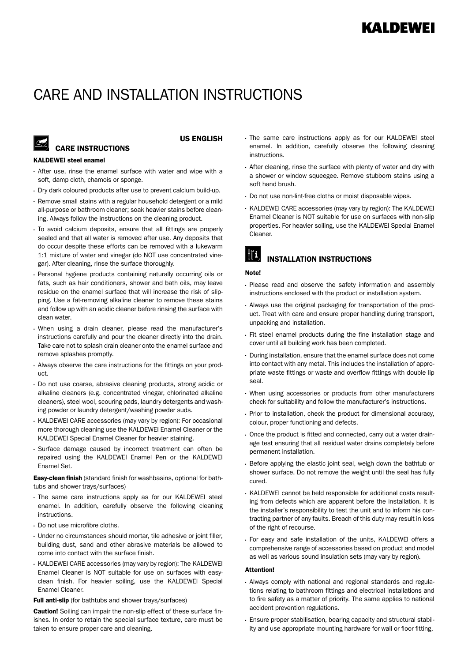# CARE AND INSTALLATION INSTRUCTIONS

## **CARE INSTRUCTIONS**

#### US ENGLISH

#### KALDEWEI steel enamel

- After use, rinse the enamel surface with water and wipe with a soft, damp cloth, chamois or sponge.
- Dry dark coloured products after use to prevent calcium build-up.
- Remove small stains with a regular household detergent or a mild all-purpose or bathroom cleaner; soak heavier stains before cleaning. Always follow the instructions on the cleaning product.
- To avoid calcium deposits, ensure that all fittings are properly sealed and that all water is removed after use. Any deposits that do occur despite these efforts can be removed with a lukewarm 1:1 mixture of water and vinegar (do NOT use concentrated vinegar). After cleaning, rinse the surface thoroughly.
- Personal hygiene products containing naturally occurring oils or fats, such as hair conditioners, shower and bath oils, may leave residue on the enamel surface that will increase the risk of slipping. Use a fat-removing alkaline cleaner to remove these stains and follow up with an acidic cleaner before rinsing the surface with clean water.
- When using a drain cleaner, please read the manufacturer's instructions carefully and pour the cleaner directly into the drain. Take care not to splash drain cleaner onto the enamel surface and remove splashes promptly.
- Always observe the care instructions for the fittings on your product.
- Do not use coarse, abrasive cleaning products, strong acidic or alkaline cleaners (e.g. concentrated vinegar, chlorinated alkaline cleaners), steel wool, scouring pads, laundry detergents and washing powder or laundry detergent/washing powder suds.
- . KALDEWEI CARE accessories (may vary by region): For occasional more thorough cleaning use the KALDEWEI Enamel Cleaner or the KALDEWEI Special Enamel Cleaner for heavier staining.
- Surface damage caused by incorrect treatment can often be repaired using the KALDEWEI Enamel Pen or the KALDEWEI Enamel Set.

Easy-clean finish (standard finish for washbasins, optional for bathtubs and shower trays/surfaces)

- The same care instructions apply as for our KALDEWEI steel enamel. In addition, carefully observe the following cleaning instructions.
- Do not use microfibre cloths.
- Under no circumstances should mortar, tile adhesive or joint filler, building dust, sand and other abrasive materials be allowed to come into contact with the surface finish.
- KALDEWEI CARE accessories (may vary by region): The KALDEWEI Enamel Cleaner is NOT suitable for use on surfaces with easyclean finish. For heavier soiling, use the KALDEWEI Special Enamel Cleaner.

Full anti-slip (for bathtubs and shower trays/surfaces)

**Caution!** Soiling can impair the non-slip effect of these surface finishes. In order to retain the special surface texture, care must be taken to ensure proper care and cleaning.

- The same care instructions apply as for our KALDEWEI steel enamel. In addition, carefully observe the following cleaning instructions.
- After cleaning, rinse the surface with plenty of water and dry with a shower or window squeegee. Remove stubborn stains using a soft hand brush.
- Do not use non-lint-free cloths or moist disposable wipes.
- KALDEWEI CARE accessories (may vary by region): The KALDEWEI Enamel Cleaner is NOT suitable for use on surfaces with non-slip properties. For heavier soiling, use the KALDEWEI Special Enamel Cleaner.

### I INSTALLATION INSTRUCTIONS

#### Note!

- Please read and observe the safety information and assembly instructions enclosed with the product or installation system.
- Always use the original packaging for transportation of the product. Treat with care and ensure proper handling during transport, unpacking and installation.
- Fit steel enamel products during the fine installation stage and cover until all building work has been completed.
- During installation, ensure that the enamel surface does not come into contact with any metal. This includes the installation of appropriate waste fittings or waste and overflow fittings with double lip seal.
- When using accessories or products from other manufacturers check for suitability and follow the manufacturer's instructions.
- Prior to installation, check the product for dimensional accuracy, colour, proper functioning and defects.
- Once the product is fitted and connected, carry out a water drainage test ensuring that all residual water drains completely before permanent installation.
- Before applying the elastic joint seal, weigh down the bathtub or shower surface. Do not remove the weight until the seal has fully cured.
- . KALDEWEI cannot be held responsible for additional costs resulting from defects which are apparent before the installation. It is the installer's responsibility to test the unit and to inform his contracting partner of any faults. Breach of this duty may result in loss of the right of recourse.
- For easy and safe installation of the units, KALDEWEI offers a comprehensive range of accessories based on product and model as well as various sound insulation sets (may vary by region).

#### Attention!

- Always comply with national and regional standards and regulations relating to bathroom fittings and electrical installations and to fire safety as a matter of priority. The same applies to national accident prevention regulations.
- Ensure proper stabilisation, bearing capacity and structural stability and use appropriate mounting hardware for wall or floor fitting.